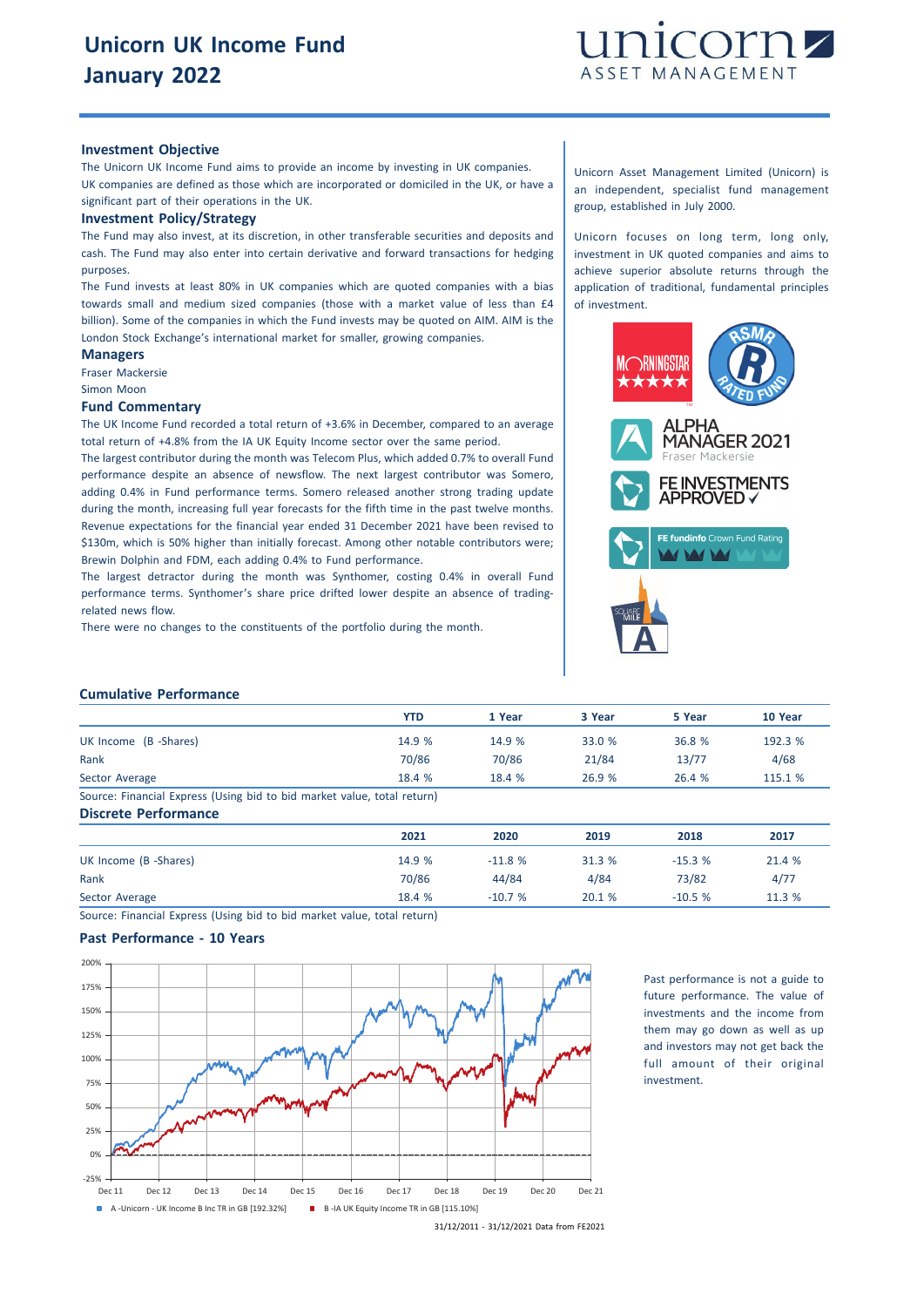

#### **Investment Objective**

The Unicorn UK Income Fund aims to provide an income by investing in UK companies. UK companies are defined as those which are incorporated or domiciled in the UK, or have a significant part of their operations in the UK.

#### **Investment Policy/Strategy**

The Fund may also invest, at its discretion, in other transferable securities and deposits and cash. The Fund may also enter into certain derivative and forward transactions for hedging purposes.

The Fund invests at least 80% in UK companies which are quoted companies with a bias towards small and medium sized companies (those with a market value of less than £4 billion). Some of the companies in which the Fund invests may be quoted on AIM. AIM is the London Stock Exchange's international market for smaller, growing companies.

#### **Managers** Fraser Mackersie

Simon Moon

**Fund Commentary**

The UK Income Fund recorded a total return of +3.6% in December, compared to an average total return of +4.8% from the IA UK Equity Income sector over the same period.

The largest contributor during the month was Telecom Plus, which added 0.7% to overall Fund performance despite an absence of newsflow. The next largest contributor was Somero, adding 0.4% in Fund performance terms. Somero released another strong trading update during the month, increasing full year forecasts for the fifth time in the past twelve months. Revenue expectations for the financial year ended 31 December 2021 have been revised to \$130m, which is 50% higher than initially forecast. Among other notable contributors were; Brewin Dolphin and FDM, each adding 0.4% to Fund performance.

The largest detractor during the month was Synthomer, costing 0.4% in overall Fund performance terms. Synthomer's share price drifted lower despite an absence of tradingrelated news flow.

There were no changes to the constituents of the portfolio during the month.

#### Unicorn Asset Management Limited (Unicorn) is an independent, specialist fund management group, established in July 2000.

Unicorn focuses on long term, long only, investment in UK quoted companies and aims to achieve superior absolute returns through the application of traditional, fundamental principles of investment.



### **Cumulative Performance**

|                                                                         | <b>YTD</b> | 1 Year | 3 Year | 5 Year | 10 Year |
|-------------------------------------------------------------------------|------------|--------|--------|--------|---------|
| UK Income (B -Shares)                                                   | 14.9 %     | 14.9 % | 33.0 % | 36.8 % | 192.3 % |
| Rank                                                                    | 70/86      | 70/86  | 21/84  | 13/77  | 4/68    |
| Sector Average                                                          | 18.4 %     | 18.4 % | 26.9%  | 26.4%  | 115.1 % |
| Source: Financial Express (Using bid to bid market value, total return) |            |        |        |        |         |
| <b>Discrete Performance</b>                                             |            |        |        |        |         |

|                       | 2021   | 2020     | 2019   | 2018     | 2017   |
|-----------------------|--------|----------|--------|----------|--------|
| UK Income (B -Shares) | 14.9 % | $-11.8%$ | 31.3 % | $-15.3%$ | 21.4 % |
| Rank                  | 70/86  | 44/84    | 4/84   | 73/82    | 4/77   |
| Sector Average        | 18.4 % | $-10.7%$ | 20.1%  | $-10.5%$ | 11.3 % |

Source: Financial Express (Using bid to bid market value, total return)

## **Past Performance - 10 Years**



Past performance is not a guide to future performance. The value of investments and the income from them may go down as well as up and investors may not get back the full amount of their original investment.

<sup>31/12/2011</sup> - 31/12/2021 Data from FE2021